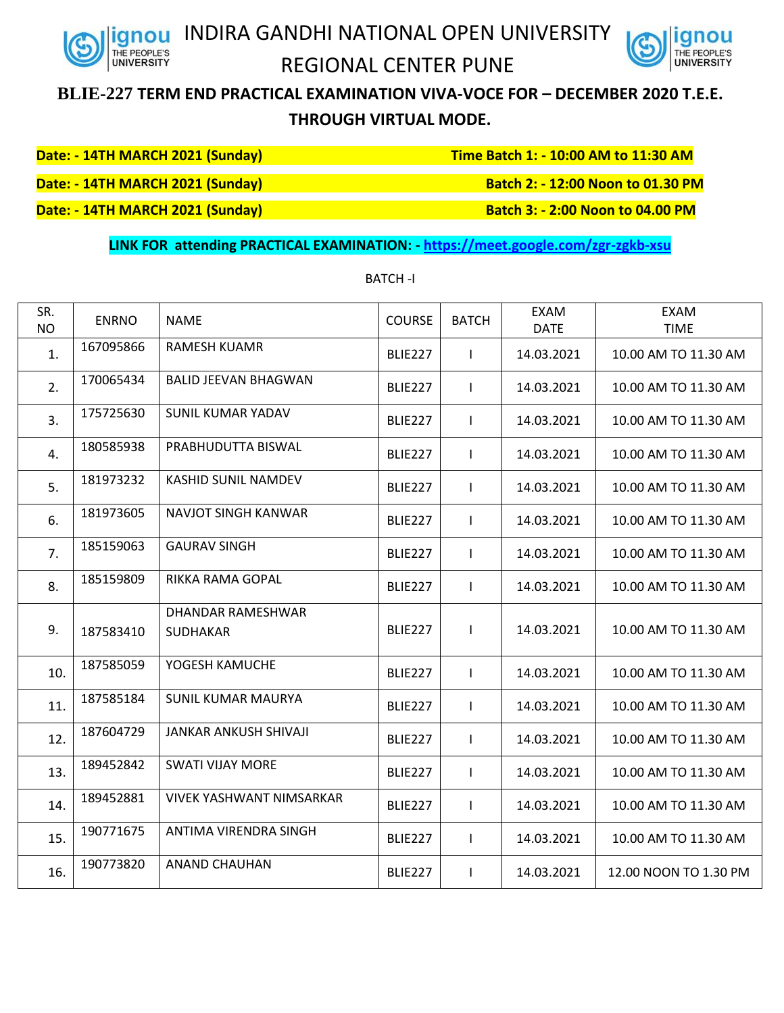

## INDIRA GANDHI NATIONAL OPEN UNIVERSITY REGIONAL CENTER PUNE



## **BLIE-227 TERM END PRACTICAL EXAMINATION VIVA-VOCE FOR – DECEMBER 2020 T.E.E. THROUGH VIRTUAL MODE.**

**Date: - 14TH MARCH 2021 (Sunday) Time Batch 1: - 10:00 AM to 11:30 AM**

**Date: - 14TH MARCH 2021 (Sunday)** Batch 2: - 12:00 Noon **to 01.30 PM** 

**Date: - 14TH MARCH 2021 (Sunday)** Batch 3: - 2:00 Noon **to 04.00 PM** 

## **LINK FOR attending PRACTICAL EXAMINATION: - <https://meet.google.com/zgr-zgkb-xsu>**

| SR.<br><b>NO</b> | <b>ENRNO</b> | <b>NAME</b>                          | <b>COURSE</b>       | <b>BATCH</b> | <b>EXAM</b><br><b>DATE</b> | <b>EXAM</b><br><b>TIME</b> |
|------------------|--------------|--------------------------------------|---------------------|--------------|----------------------------|----------------------------|
| 1.               | 167095866    | <b>RAMESH KUAMR</b>                  | <b>BLIE227</b>      | $\mathbf{I}$ | 14.03.2021                 | 10.00 AM TO 11.30 AM       |
| 2.               | 170065434    | <b>BALID JEEVAN BHAGWAN</b>          | BLIE227             | $\mathbf{I}$ | 14.03.2021                 | 10.00 AM TO 11.30 AM       |
| 3.               | 175725630    | <b>SUNIL KUMAR YADAV</b>             | <b>BLIE227</b>      | $\mathbf{I}$ | 14.03.2021                 | 10.00 AM TO 11.30 AM       |
| 4.               | 180585938    | PRABHUDUTTA BISWAL                   | BLIE <sub>227</sub> | $\mathbf{I}$ | 14.03.2021                 | 10.00 AM TO 11.30 AM       |
| 5.               | 181973232    | KASHID SUNIL NAMDEV                  | BLIE227             | $\mathbf{I}$ | 14.03.2021                 | 10.00 AM TO 11.30 AM       |
| 6.               | 181973605    | NAVJOT SINGH KANWAR                  | <b>BLIE227</b>      | $\mathbf{I}$ | 14.03.2021                 | 10.00 AM TO 11.30 AM       |
| 7.               | 185159063    | <b>GAURAV SINGH</b>                  | BLIE227             | $\mathsf{l}$ | 14.03.2021                 | 10.00 AM TO 11.30 AM       |
| 8.               | 185159809    | RIKKA RAMA GOPAL                     | BLIE227             | $\mathsf{l}$ | 14.03.2021                 | 10.00 AM TO 11.30 AM       |
| 9.               | 187583410    | DHANDAR RAMESHWAR<br><b>SUDHAKAR</b> | <b>BLIE227</b>      | $\mathbf{I}$ | 14.03.2021                 | 10.00 AM TO 11.30 AM       |
| 10.              | 187585059    | YOGESH KAMUCHE                       | BLIE227             | $\mathbf{I}$ | 14.03.2021                 | 10.00 AM TO 11.30 AM       |
| 11.              | 187585184    | <b>SUNIL KUMAR MAURYA</b>            | <b>BLIE227</b>      | $\mathbf{I}$ | 14.03.2021                 | 10.00 AM TO 11.30 AM       |
| 12.              | 187604729    | <b>JANKAR ANKUSH SHIVAJI</b>         | BLIE227             | $\mathbf{I}$ | 14.03.2021                 | 10.00 AM TO 11.30 AM       |
| 13.              | 189452842    | <b>SWATI VIJAY MORE</b>              | BLIE227             | $\mathbf{I}$ | 14.03.2021                 | 10.00 AM TO 11.30 AM       |
| 14.              | 189452881    | <b>VIVEK YASHWANT NIMSARKAR</b>      | <b>BLIE227</b>      | $\mathbf{I}$ | 14.03.2021                 | 10.00 AM TO 11.30 AM       |
| 15.              | 190771675    | ANTIMA VIRENDRA SINGH                | BLIE227             | $\mathbf{I}$ | 14.03.2021                 | 10.00 AM TO 11.30 AM       |
| 16.              | 190773820    | <b>ANAND CHAUHAN</b>                 | BLIE227             | $\mathbf{I}$ | 14.03.2021                 | 12.00 NOON TO 1.30 PM      |
|                  |              |                                      |                     |              |                            |                            |

## BATCH -I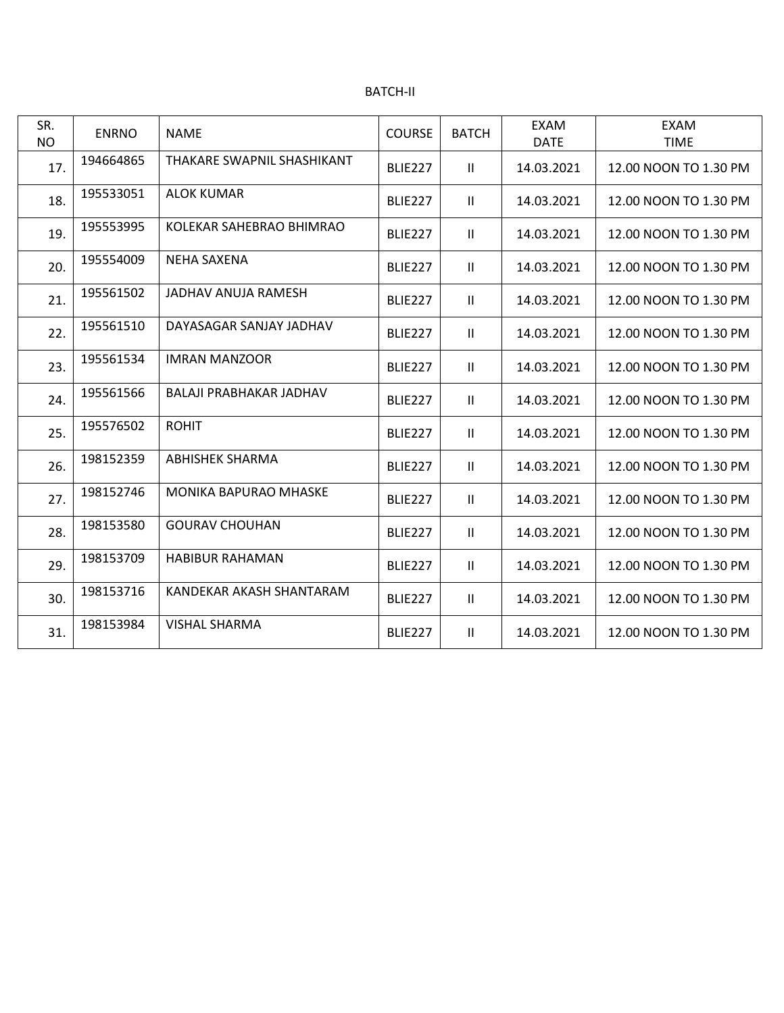| <b>BATCH-II</b> |  |
|-----------------|--|
|-----------------|--|

| SR.<br><b>NO</b> | <b>ENRNO</b> | <b>NAME</b>                  | <b>COURSE</b>       | <b>BATCH</b>  | <b>EXAM</b><br><b>DATE</b> | <b>EXAM</b><br><b>TIME</b> |
|------------------|--------------|------------------------------|---------------------|---------------|----------------------------|----------------------------|
| 17.              | 194664865    | THAKARE SWAPNIL SHASHIKANT   | <b>BLIE227</b>      | Ш             | 14.03.2021                 | 12.00 NOON TO 1.30 PM      |
| 18.              | 195533051    | <b>ALOK KUMAR</b>            | <b>BLIE227</b>      | Ш             | 14.03.2021                 | 12.00 NOON TO 1.30 PM      |
| 19.              | 195553995    | KOLEKAR SAHEBRAO BHIMRAO     | <b>BLIE227</b>      | $\mathbf{H}$  | 14.03.2021                 | 12.00 NOON TO 1.30 PM      |
| 20.              | 195554009    | <b>NEHA SAXENA</b>           | <b>BLIE227</b>      | $\mathbf{H}$  | 14.03.2021                 | 12.00 NOON TO 1.30 PM      |
| 21.              | 195561502    | JADHAV ANUJA RAMESH          | <b>BLIE227</b>      | Ш             | 14.03.2021                 | 12.00 NOON TO 1.30 PM      |
| 22.              | 195561510    | DAYASAGAR SANJAY JADHAV      | <b>BLIE227</b>      | $\mathbf{H}$  | 14.03.2021                 | 12.00 NOON TO 1.30 PM      |
| 23.              | 195561534    | <b>IMRAN MANZOOR</b>         | <b>BLIE227</b>      | Ш             | 14.03.2021                 | 12.00 NOON TO 1.30 PM      |
| 24.              | 195561566    | BALAJI PRABHAKAR JADHAV      | <b>BLIE227</b>      | $\mathbf{H}$  | 14.03.2021                 | 12.00 NOON TO 1.30 PM      |
| 25.              | 195576502    | <b>ROHIT</b>                 | BLIE <sub>227</sub> | $\mathbf{H}$  | 14.03.2021                 | 12.00 NOON TO 1.30 PM      |
| 26.              | 198152359    | <b>ABHISHEK SHARMA</b>       | <b>BLIE227</b>      | Ш             | 14.03.2021                 | 12.00 NOON TO 1.30 PM      |
| 27.              | 198152746    | <b>MONIKA BAPURAO MHASKE</b> | <b>BLIE227</b>      | $\mathbf{II}$ | 14.03.2021                 | 12.00 NOON TO 1.30 PM      |
| 28.              | 198153580    | <b>GOURAV CHOUHAN</b>        | BLIE <sub>227</sub> | $\mathbf{H}$  | 14.03.2021                 | 12.00 NOON TO 1.30 PM      |
| 29.              | 198153709    | <b>HABIBUR RAHAMAN</b>       | <b>BLIE227</b>      | Ш             | 14.03.2021                 | 12.00 NOON TO 1.30 PM      |
| 30.              | 198153716    | KANDEKAR AKASH SHANTARAM     | <b>BLIE227</b>      | $\mathbf{II}$ | 14.03.2021                 | 12.00 NOON TO 1.30 PM      |
| 31.              | 198153984    | <b>VISHAL SHARMA</b>         | <b>BLIE227</b>      | Ш             | 14.03.2021                 | 12.00 NOON TO 1.30 PM      |